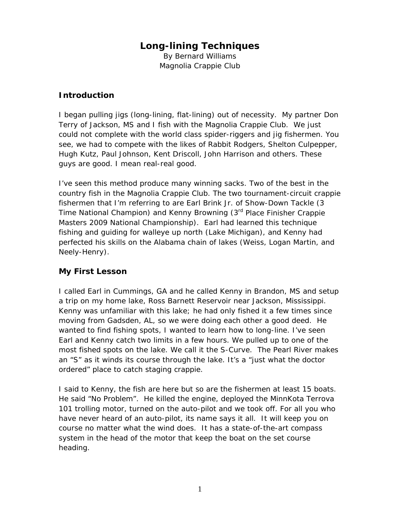# **Long-lining Techniques**

By Bernard Williams Magnolia Crappie Club

## *Introduction*

I began pulling jigs (long-lining, flat-lining) out of necessity. My partner Don Terry of Jackson, MS and I fish with the Magnolia Crappie Club. We just could not complete with the world class spider-riggers and jig fishermen. You see, we had to compete with the likes of Rabbit Rodgers, Shelton Culpepper, Hugh Kutz, Paul Johnson, Kent Driscoll, John Harrison and others. These guys are good. I mean real-real good.

I've seen this method produce many winning sacks. Two of the best in the country fish in the Magnolia Crappie Club. The two tournament-circuit crappie fishermen that I'm referring to are Earl Brink Jr. of Show-Down Tackle (3 Time National Champion) and Kenny Browning (3<sup>rd</sup> Place Finisher Crappie Masters 2009 National Championship). Earl had learned this technique fishing and guiding for walleye up north (Lake Michigan), and Kenny had perfected his skills on the Alabama chain of lakes (Weiss, Logan Martin, and Neely-Henry).

# *My First Lesson*

I called Earl in Cummings, GA and he called Kenny in Brandon, MS and setup a trip on my home lake, Ross Barnett Reservoir near Jackson, Mississippi. Kenny was unfamiliar with this lake; he had only fished it a few times since moving from Gadsden, AL, so we were doing each other a good deed. He wanted to find fishing spots, I wanted to learn how to long-line. I've seen Earl and Kenny catch two limits in a few hours. We pulled up to one of the most fished spots on the lake. We call it the S-Curve. The Pearl River makes an "S" as it winds its course through the lake. It's a "just what the doctor ordered" place to catch staging crappie.

I said to Kenny, the fish are here but so are the fishermen at least 15 boats. He said "No Problem". He killed the engine, deployed the MinnKota Terrova 101 trolling motor, turned on the auto-pilot and we took off. For all you who have never heard of an auto-pilot, its name says it all. It will keep you on course no matter what the wind does. It has a state-of-the-art compass system in the head of the motor that keep the boat on the set course heading.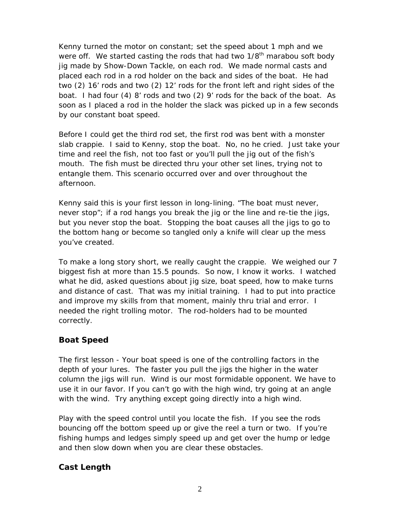Kenny turned the motor on constant; set the speed about 1 mph and we were off. We started casting the rods that had two  $1/8<sup>th</sup>$  marabou soft body jig made by Show-Down Tackle, on each rod. We made normal casts and placed each rod in a rod holder on the back and sides of the boat. He had two (2) 16' rods and two (2) 12' rods for the front left and right sides of the boat. I had four (4) 8' rods and two (2) 9' rods for the back of the boat. As soon as I placed a rod in the holder the slack was picked up in a few seconds by our constant boat speed.

Before I could get the third rod set, the first rod was bent with a monster slab crappie. I said to Kenny, stop the boat. No, no he cried. Just take your time and reel the fish, not too fast or you'll pull the jig out of the fish's mouth. The fish must be directed thru your other set lines, trying not to entangle them. This scenario occurred over and over throughout the afternoon.

Kenny said this is your first lesson in long-lining. "The boat must never, never stop"; if a rod hangs you break the jig or the line and re-tie the jigs, but you never stop the boat. Stopping the boat causes all the jigs to go to the bottom hang or become so tangled only a knife will clear up the mess you've created.

To make a long story short, we really caught the crappie. We weighed our 7 biggest fish at more than 15.5 pounds. So now, I know it works. I watched what he did, asked questions about jig size, boat speed, how to make turns and distance of cast. That was my initial training. I had to put into practice and improve my skills from that moment, mainly thru trial and error. I needed the right trolling motor. The rod-holders had to be mounted correctly.

### *Boat Speed*

The first lesson - Your boat speed is one of the controlling factors in the depth of your lures. The faster you pull the jigs the higher in the water column the jigs will run. Wind is our most formidable opponent. We have to use it in our favor. If you can't go with the high wind, try going at an angle with the wind. Try anything except going directly into a high wind.

Play with the speed control until you locate the fish. If you see the rods bouncing off the bottom speed up or give the reel a turn or two. If you're fishing humps and ledges simply speed up and get over the hump or ledge and then slow down when you are clear these obstacles.

### *Cast Length*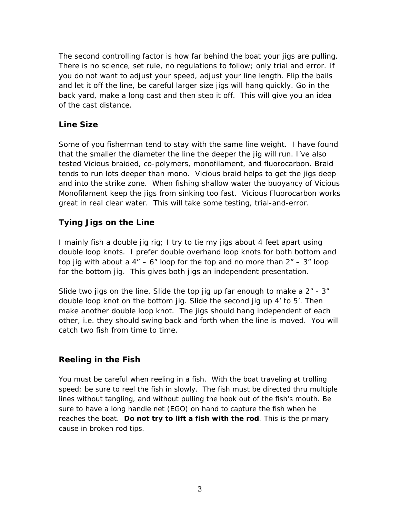The second controlling factor is how far behind the boat your jigs are pulling. There is no science, set rule, no regulations to follow; only trial and error. If you do not want to adjust your speed, adjust your line length. Flip the bails and let it off the line, be careful larger size jigs will hang quickly. Go in the back yard, make a long cast and then step it off. This will give you an idea of the cast distance.

### *Line Size*

Some of you fisherman tend to stay with the same line weight. I have found that the smaller the diameter the line the deeper the jig will run. I've also tested Vicious braided, co-polymers, monofilament, and fluorocarbon. Braid tends to run lots deeper than mono. Vicious braid helps to get the jigs deep and into the strike zone. When fishing shallow water the buoyancy of Vicious Monofilament keep the jigs from sinking too fast. Vicious Fluorocarbon works great in real clear water. This will take some testing, trial-and-error.

# *Tying Jigs on the Line*

I mainly fish a double jig rig; I try to tie my jigs about 4 feet apart using double loop knots. I prefer double overhand loop knots for both bottom and top jig with about a  $4" - 6"$  loop for the top and no more than  $2" - 3"$  loop for the bottom jig. This gives both jigs an independent presentation.

Slide two jigs on the line. Slide the top jig up far enough to make a  $2<sup>n</sup>$  - 3<sup>n</sup> double loop knot on the bottom jig. Slide the second jig up 4' to 5'. Then make another double loop knot. The jigs should hang independent of each other, i.e. they should swing back and forth when the line is moved. You will catch two fish from time to time.

### *Reeling in the Fish*

You must be careful when reeling in a fish. With the boat traveling at trolling speed; be sure to reel the fish in slowly. The fish must be directed thru multiple lines without tangling, and without pulling the hook out of the fish's mouth. Be sure to have a long handle net (EGO) on hand to capture the fish when he reaches the boat. **Do not try to lift a fish with the rod**. This is the primary cause in broken rod tips.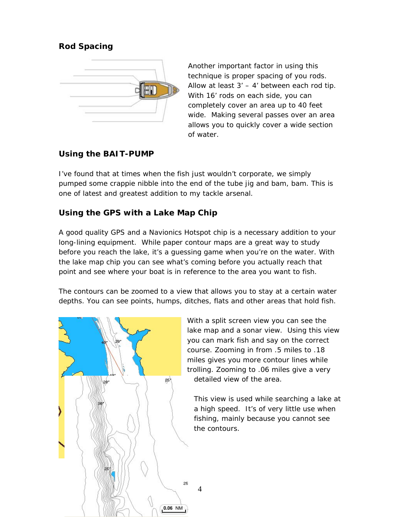# *Rod Spacing*



Another important factor in using this technique is proper spacing of you rods. Allow at least  $3' - 4'$  between each rod tip. With 16' rods on each side, you can completely cover an area up to 40 feet wide. Making several passes over an area allows you to quickly cover a wide section of water.

### *Using the BAIT-PUMP*

I've found that at times when the fish just wouldn't corporate, we simply pumped some crappie nibble into the end of the tube jig and bam, bam. This is one of latest and greatest addition to my tackle arsenal.

# *Using the GPS with a Lake Map Chip*

A good quality GPS and a Navionics Hotspot chip is a necessary addition to your long-lining equipment. While paper contour maps are a great way to study before you reach the lake, it's a guessing game when you're on the water. With the lake map chip you can see what's coming before you actually reach that point and see where your boat is in reference to the area you want to fish.

The contours can be zoomed to a view that allows you to stay at a certain water depths. You can see points, humps, ditches, flats and other areas that hold fish.

4



With a split screen view you can see the lake map and a sonar view. Using this view you can mark fish and say on the correct course. Zooming in from .5 miles to .18 miles gives you more contour lines while trolling. Zooming to .06 miles give a very detailed view of the area.

This view is used while searching a lake at a high speed. It's of very little use when fishing, mainly because you cannot see the contours.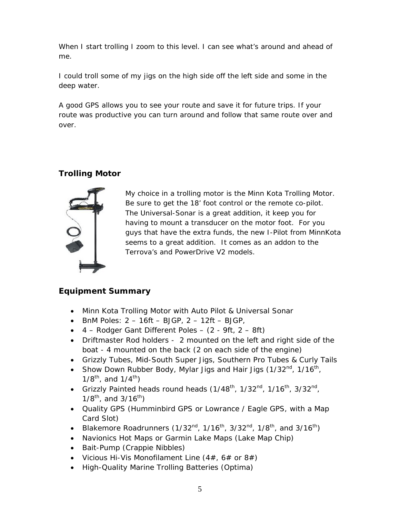When I start trolling I zoom to this level. I can see what's around and ahead of me.

I could troll some of my jigs on the high side off the left side and some in the deep water.

A good GPS allows you to see your route and save it for future trips. If your route was productive you can turn around and follow that same route over and over.

# *Trolling Motor*



My choice in a trolling motor is the Minn Kota Trolling Motor. Be sure to get the 18' foot control or the remote co-pilot. The Universal-Sonar is a great addition, it keep you for having to mount a transducer on the motor foot. For you guys that have the extra funds, the new I-Pilot from MinnKota seems to a great addition. It comes as an addon to the Terrova's and PowerDrive V2 models.

# *Equipment Summary*

- Minn Kota Trolling Motor with Auto Pilot & Universal Sonar
- BnM Poles:  $2 16$ ft BJGP,  $2 12$ ft BJGP,
- 4 Rodger Gant Different Poles (2 9ft, 2 8ft)
- Driftmaster Rod holders 2 mounted on the left and right side of the boat - 4 mounted on the back (2 on each side of the engine)
- Grizzly Tubes, Mid-South Super Jigs, Southern Pro Tubes & Curly Tails
- Show Down Rubber Body, Mylar Jigs and Hair Jigs  $(1/32<sup>nd</sup>, 1/16<sup>th</sup>)$  $1/8^{\text{th}}$ , and  $1/4^{\text{th}}$ )
- Grizzly Painted heads round heads  $(1/48<sup>th</sup>, 1/32<sup>nd</sup>, 1/16<sup>th</sup>, 3/32<sup>nd</sup>,$  $1/8^{th}$ , and  $3/16^{th}$ )
- Quality GPS (Humminbird GPS or Lowrance / Eagle GPS, with a Map Card Slot)
- Blakemore Roadrunners (1/32<sup>nd</sup>, 1/16<sup>th</sup>, 3/32<sup>nd</sup>, 1/8<sup>th</sup>, and 3/16<sup>th</sup>)
- Navionics Hot Maps or Garmin Lake Maps (Lake Map Chip)
- Bait-Pump (Crappie Nibbles)
- Vicious Hi-Vis Monofilament Line  $(4#, 6#$  or  $8#)$
- High-Quality Marine Trolling Batteries (Optima)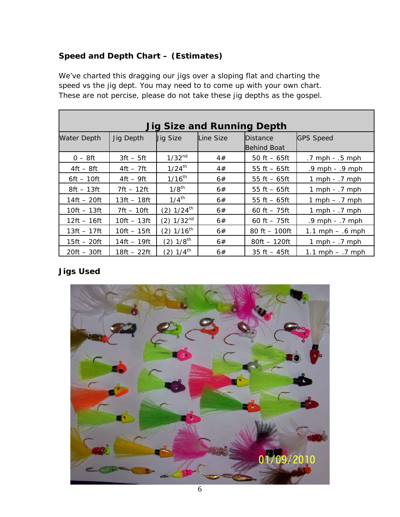# *Speed and Depth Chart – (Estimates)*

We've charted this dragging our jigs over a sloping flat and charting the speed vs the jig dept. You may need to to come up with your own chart. These are not percise, please do not take these jig depths as the gospel.

| <b>Jig Size and Running Depth</b> |               |                          |           |                                       |                      |
|-----------------------------------|---------------|--------------------------|-----------|---------------------------------------|----------------------|
| Water Depth                       | Jig Depth     | <b>Jig Size</b>          | Line Size | <b>Distance</b><br><b>Behind Boat</b> | <b>GPS Speed</b>     |
| $0-8$ ft                          | $3ft - 5ft$   | 1/32 <sup>nd</sup>       | 4#        | 50 ft $-65$ ft                        | $.7$ mph $- .5$ mph  |
| $4ft - 8ft$                       | $4ft - 7ft$   | $1/24^{th}$              | 4#        | 55 ft $-65$ ft                        | $.9$ mph $- .9$ mph  |
| $6ft - 10ft$                      | $4ft - 9ft$   | $1/16^{th}$              | 6#        | 55 ft $-65$ ft                        | 1 mph $-$ .7 mph     |
| $8ft - 13ft$                      | $7ft - 12ft$  | $1/8$ <sup>th</sup>      | 6#        | 55 ft $-65$ ft                        | 1 mph $-$ .7 mph     |
| $14ft - 20ft$                     | 13ft – 18ft   | $1/4^{\text{th}}$        | 6#        | 55 ft $-65$ ft                        | 1 mph $ \cdot$ 7 mph |
| $10ft - 13ft$                     | $7ft - 10ft$  | $(2)$ 1/24 <sup>th</sup> | 6#        | 60 ft $-75$ ft                        | 1 mph $-$ .7 mph     |
| $12ft - 16ft$                     | $10ft - 13ft$ | $(2)$ 1/32 <sup>nd</sup> | 6#        | 60 ft $-75$ ft                        | .9 mph - .7 mph      |
| $13ft - 17ft$                     | $10ft - 15ft$ | $(2)$ 1/16 <sup>th</sup> | 6#        | 80 ft $-100$ ft                       | 1.1 mph $-$ .6 mph   |
| $15ft - 20ft$                     | $14ft - 19ft$ | $(2) 1/8$ <sup>th</sup>  | 6#        | $80ft - 120ft$                        | 1 mph $-$ .7 mph     |
| $20ft - 30ft$                     | 18ft – 22ft   | $(2) 1/4$ <sup>th</sup>  | 6#        | $35 \text{ ft} - 45 \text{ ft}$       | 1.1 mph $-$ .7 mph   |

# *Jigs Used*

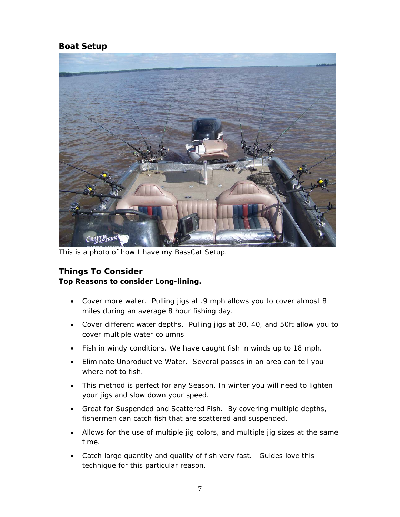### *Boat Setup*



This is a photo of how I have my BassCat Setup.

#### *Things To Consider*

#### **Top Reasons to consider Long-lining.**

- Cover more water. Pulling jigs at .9 mph allows you to cover almost 8 miles during an average 8 hour fishing day.
- Cover different water depths. Pulling jigs at 30, 40, and 50ft allow you to cover multiple water columns
- Fish in windy conditions. We have caught fish in winds up to 18 mph.
- Eliminate Unproductive Water. Several passes in an area can tell you where not to fish.
- This method is perfect for any Season. In winter you will need to lighten your jigs and slow down your speed.
- Great for Suspended and Scattered Fish. By covering multiple depths, fishermen can catch fish that are scattered and suspended.
- Allows for the use of multiple jig colors, and multiple jig sizes at the same time.
- Catch large quantity and quality of fish very fast. Guides love this technique for this particular reason.